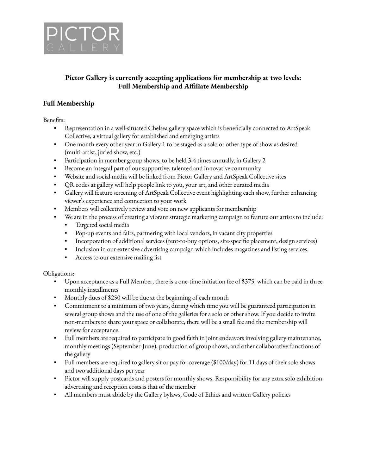

## **Pictor Gallery is currently accepting applications for membership at two levels: Full Membership and Affiliate Membership**

## **Full Membership**

Benefits:

- Representation in a well-situated Chelsea gallery space which is beneficially connected to ArtSpeak Collective, a virtual gallery for established and emerging artists
- One month every other year in Gallery 1 to be staged as a solo or other type of show as desired (multi-artist, juried show, etc.)
- Participation in member group shows, to be held 3-4 times annually, in Gallery 2
- Become an integral part of our supportive, talented and innovative community
- Website and social media will be linked from Pictor Gallery and ArtSpeak Collective sites
- QR codes at gallery will help people link to you, your art, and other curated media
- Gallery will feature screening of ArtSpeak Collective event highlighting each show, further enhancing viewer's experience and connection to your work
- Members will collectively review and vote on new applicants for membership
- We are in the process of creating a vibrant strategic marketing campaign to feature our artists to include:
	- Targeted social media
	- Pop-up events and fairs, partnering with local vendors, in vacant city properties
	- Incorporation of additional services (rent-to-buy options, site-specific placement, design services)
	- Inclusion in our extensive advertising campaign which includes magazines and listing services.
	- Access to our extensive mailing list

#### Obligations:

- Upon acceptance as a Full Member, there is a one-time initiation fee of \$375. which can be paid in three monthly installments
- Monthly dues of \$250 will be due at the beginning of each month
- Commitment to a minimum of two years, during which time you will be guaranteed participation in several group shows and the use of one of the galleries for a solo or other show. If you decide to invite non-members to share your space or collaborate, there will be a small fee and the membership will review for acceptance.
- Full members are required to participate in good faith in joint endeavors involving gallery maintenance, monthly meetings (September-June), production of group shows, and other collaborative functions of the gallery
- Full members are required to gallery sit or pay for coverage (\$100/day) for 11 days of their solo shows and two additional days per year
- Pictor will supply postcards and posters for monthly shows. Responsibility for any extra solo exhibition advertising and reception costs is that of the member
- All members must abide by the Gallery bylaws, Code of Ethics and written Gallery policies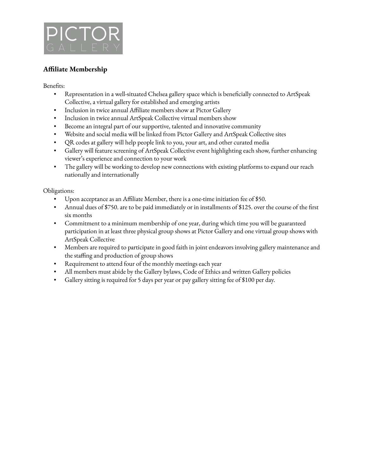

# **Affiliate Membership**

Benefits:

- Representation in a well-situated Chelsea gallery space which is beneficially connected to ArtSpeak Collective, a virtual gallery for established and emerging artists
- Inclusion in twice annual Affiliate members show at Pictor Gallery
- **•** Inclusion in twice annual ArtSpeak Collective virtual members show
- Become an integral part of our supportive, talented and innovative community
- Website and social media will be linked from Pictor Gallery and ArtSpeak Collective sites
- QR codes at gallery will help people link to you, your art, and other curated media
- Gallery will feature screening of ArtSpeak Collective event highlighting each show, further enhancing viewer's experience and connection to your work
- The gallery will be working to develop new connections with existing platforms to expand our reach nationally and internationally

Obligations:

- Upon acceptance as an Affiliate Member, there is a one-time initiation fee of \$50.
- Annual dues of \$750. are to be paid immediately or in installments of \$125. over the course of the first six months
- Commitment to a minimum membership of one year, during which time you will be guaranteed participation in at least three physical group shows at Pictor Gallery and one virtual group shows with ArtSpeak Collective
- Members are required to participate in good faith in joint endeavors involving gallery maintenance and the staffing and production of group shows
- Requirement to attend four of the monthly meetings each year
- All members must abide by the Gallery bylaws, Code of Ethics and written Gallery policies
- Gallery sitting is required for 5 days per year or pay gallery sitting fee of \$100 per day.